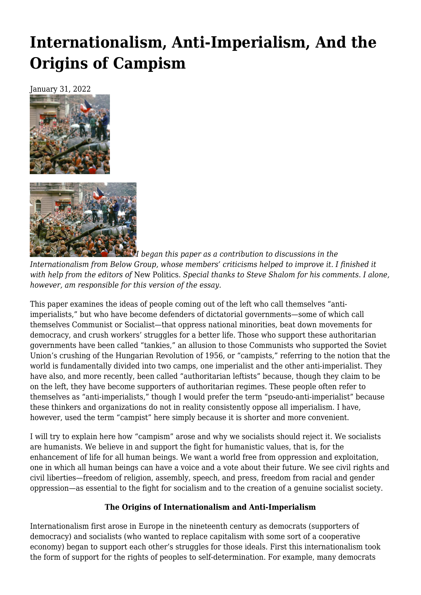# **[Internationalism, Anti-Imperialism, And the](https://newpol.org/issue_post/internationalism-anti-imperialism-and-the-origins-of-campism/) [Origins of Campism](https://newpol.org/issue_post/internationalism-anti-imperialism-and-the-origins-of-campism/)**

January 31, 2022





*I began this paper as a contribution to discussions in the Internationalism from Below Group, whose members' criticisms helped to improve it. I finished it with help from the editors of* New Politics. *Special thanks to Steve Shalom for his comments. I alone, however, am responsible for this version of the essay.*

This paper examines the ideas of people coming out of the left who call themselves "antiimperialists," but who have become defenders of dictatorial governments—some of which call themselves Communist or Socialist—that oppress national minorities, beat down movements for democracy, and crush workers' struggles for a better life. Those who support these authoritarian governments have been called "tankies," an allusion to those Communists who supported the Soviet Union's crushing of the Hungarian Revolution of 1956, or "campists," referring to the notion that the world is fundamentally divided into two camps, one imperialist and the other anti-imperialist. They have also, and more recently, been called "authoritarian leftists" because, though they claim to be on the left, they have become supporters of authoritarian regimes. These people often refer to themselves as "anti-imperialists," though I would prefer the term "pseudo-anti-imperialist" because these thinkers and organizations do not in reality consistently oppose all imperialism. I have, however, used the term "campist" here simply because it is shorter and more convenient.

I will try to explain here how "campism" arose and why we socialists should reject it. We socialists are humanists. We believe in and support the fight for humanistic values, that is, for the enhancement of life for all human beings. We want a world free from oppression and exploitation, one in which all human beings can have a voice and a vote about their future. We see civil rights and civil liberties—freedom of religion, assembly, speech, and press, freedom from racial and gender oppression—as essential to the fight for socialism and to the creation of a genuine socialist society.

# **The Origins of Internationalism and Anti-Imperialism**

Internationalism first arose in Europe in the nineteenth century as democrats (supporters of democracy) and socialists (who wanted to replace capitalism with some sort of a cooperative economy) began to support each other's struggles for those ideals. First this internationalism took the form of support for the rights of peoples to self-determination. For example, many democrats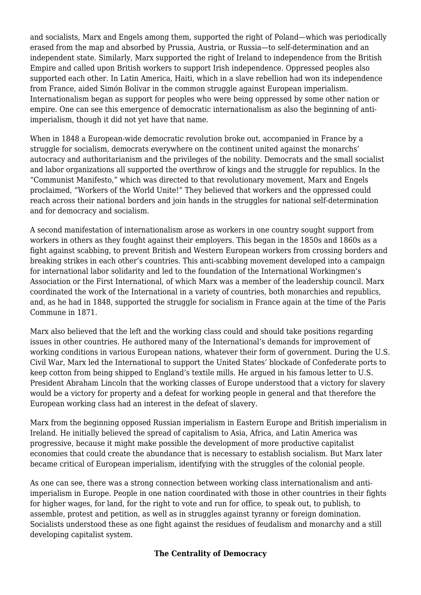and socialists, Marx and Engels among them, supported the right of Poland—which was periodically erased from the map and absorbed by Prussia, Austria, or Russia—to self-determination and an independent state. Similarly, Marx supported the right of Ireland to independence from the British Empire and called upon British workers to support Irish independence. Oppressed peoples also supported each other. In Latin America, Haiti, which in a slave rebellion had won its independence from France, aided Simón Bolívar in the common struggle against European imperialism. Internationalism began as support for peoples who were being oppressed by some other nation or empire. One can see this emergence of democratic internationalism as also the beginning of antiimperialism, though it did not yet have that name.

When in 1848 a European-wide democratic revolution broke out, accompanied in France by a struggle for socialism, democrats everywhere on the continent united against the monarchs' autocracy and authoritarianism and the privileges of the nobility. Democrats and the small socialist and labor organizations all supported the overthrow of kings and the struggle for republics. In the "Communist Manifesto," which was directed to that revolutionary movement, Marx and Engels proclaimed, "Workers of the World Unite!" They believed that workers and the oppressed could reach across their national borders and join hands in the struggles for national self-determination and for democracy and socialism.

A second manifestation of internationalism arose as workers in one country sought support from workers in others as they fought against their employers. This began in the 1850s and 1860s as a fight against scabbing, to prevent British and Western European workers from crossing borders and breaking strikes in each other's countries. This anti-scabbing movement developed into a campaign for international labor solidarity and led to the foundation of the International Workingmen's Association or the First International, of which Marx was a member of the leadership council. Marx coordinated the work of the International in a variety of countries, both monarchies and republics, and, as he had in 1848, supported the struggle for socialism in France again at the time of the Paris Commune in 1871.

Marx also believed that the left and the working class could and should take positions regarding issues in other countries. He authored many of the International's demands for improvement of working conditions in various European nations, whatever their form of government. During the U.S. Civil War, Marx led the International to support the United States' blockade of Confederate ports to keep cotton from being shipped to England's textile mills. He argued in his famous letter to U.S. President Abraham Lincoln that the working classes of Europe understood that a victory for slavery would be a victory for property and a defeat for working people in general and that therefore the European working class had an interest in the defeat of slavery.

Marx from the beginning opposed Russian imperialism in Eastern Europe and British imperialism in Ireland. He initially believed the spread of capitalism to Asia, Africa, and Latin America was progressive, because it might make possible the development of more productive capitalist economies that could create the abundance that is necessary to establish socialism. But Marx later became critical of European imperialism, identifying with the struggles of the colonial people.

As one can see, there was a strong connection between working class internationalism and antiimperialism in Europe. People in one nation coordinated with those in other countries in their fights for higher wages, for land, for the right to vote and run for office, to speak out, to publish, to assemble, protest and petition, as well as in struggles against tyranny or foreign domination. Socialists understood these as one fight against the residues of feudalism and monarchy and a still developing capitalist system.

# **The Centrality of Democracy**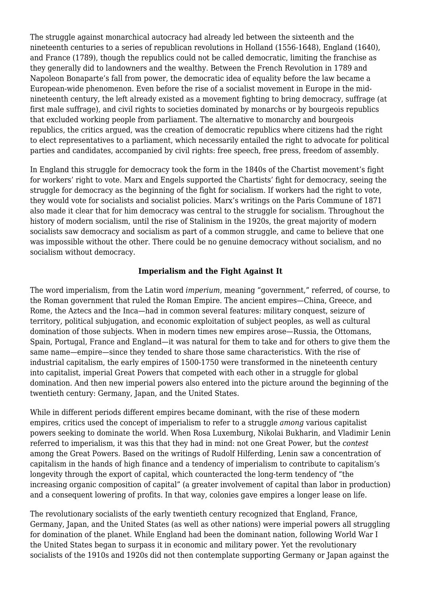The struggle against monarchical autocracy had already led between the sixteenth and the nineteenth centuries to a series of republican revolutions in Holland (1556-1648), England (1640), and France (1789), though the republics could not be called democratic, limiting the franchise as they generally did to landowners and the wealthy. Between the French Revolution in 1789 and Napoleon Bonaparte's fall from power, the democratic idea of equality before the law became a European-wide phenomenon. Even before the rise of a socialist movement in Europe in the midnineteenth century, the left already existed as a movement fighting to bring democracy, suffrage (at first male suffrage), and civil rights to societies dominated by monarchs or by bourgeois republics that excluded working people from parliament. The alternative to monarchy and bourgeois republics, the critics argued, was the creation of democratic republics where citizens had the right to elect representatives to a parliament, which necessarily entailed the right to advocate for political parties and candidates, accompanied by civil rights: free speech, free press, freedom of assembly.

In England this struggle for democracy took the form in the 1840s of the Chartist movement's fight for workers' right to vote. Marx and Engels supported the Chartists' fight for democracy, seeing the struggle for democracy as the beginning of the fight for socialism. If workers had the right to vote, they would vote for socialists and socialist policies. Marx's writings on the Paris Commune of 1871 also made it clear that for him democracy was central to the struggle for socialism. Throughout the history of modern socialism, until the rise of Stalinism in the 1920s, the great majority of modern socialists saw democracy and socialism as part of a common struggle, and came to believe that one was impossible without the other. There could be no genuine democracy without socialism, and no socialism without democracy.

### **Imperialism and the Fight Against It**

The word imperialism, from the Latin word *imperium*, meaning "government," referred, of course, to the Roman government that ruled the Roman Empire. The ancient empires—China, Greece, and Rome, the Aztecs and the Inca—had in common several features: military conquest, seizure of territory, political subjugation, and economic exploitation of subject peoples, as well as cultural domination of those subjects. When in modern times new empires arose—Russia, the Ottomans, Spain, Portugal, France and England—it was natural for them to take and for others to give them the same name—empire—since they tended to share those same characteristics. With the rise of industrial capitalism, the early empires of 1500-1750 were transformed in the nineteenth century into capitalist, imperial Great Powers that competed with each other in a struggle for global domination. And then new imperial powers also entered into the picture around the beginning of the twentieth century: Germany, Japan, and the United States.

While in different periods different empires became dominant, with the rise of these modern empires, critics used the concept of imperialism to refer to a struggle *among* various capitalist powers seeking to dominate the world. When Rosa Luxemburg, Nikolai Bukharin, and Vladimir Lenin referred to imperialism, it was this that they had in mind: not one Great Power, but the *contest* among the Great Powers. Based on the writings of Rudolf Hilferding, Lenin saw a concentration of capitalism in the hands of high finance and a tendency of imperialism to contribute to capitalism's longevity through the export of capital, which counteracted the long-term tendency of "the increasing organic composition of capital" (a greater involvement of capital than labor in production) and a consequent lowering of profits. In that way, colonies gave empires a longer lease on life.

The revolutionary socialists of the early twentieth century recognized that England, France, Germany, Japan, and the United States (as well as other nations) were imperial powers all struggling for domination of the planet. While England had been the dominant nation, following World War I the United States began to surpass it in economic and military power. Yet the revolutionary socialists of the 1910s and 1920s did not then contemplate supporting Germany or Japan against the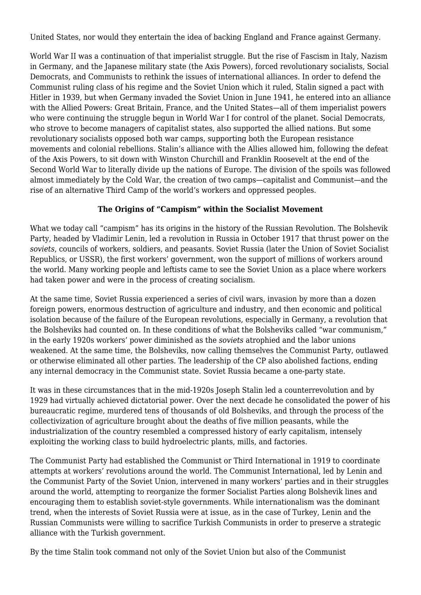United States, nor would they entertain the idea of backing England and France against Germany.

World War II was a continuation of that imperialist struggle. But the rise of Fascism in Italy, Nazism in Germany, and the Japanese military state (the Axis Powers), forced revolutionary socialists, Social Democrats, and Communists to rethink the issues of international alliances. In order to defend the Communist ruling class of his regime and the Soviet Union which it ruled, Stalin signed a pact with Hitler in 1939, but when Germany invaded the Soviet Union in June 1941, he entered into an alliance with the Allied Powers: Great Britain, France, and the United States—all of them imperialist powers who were continuing the struggle begun in World War I for control of the planet. Social Democrats, who strove to become managers of capitalist states, also supported the allied nations. But some revolutionary socialists opposed both war camps, supporting both the European resistance movements and colonial rebellions. Stalin's alliance with the Allies allowed him, following the defeat of the Axis Powers, to sit down with Winston Churchill and Franklin Roosevelt at the end of the Second World War to literally divide up the nations of Europe. The division of the spoils was followed almost immediately by the Cold War, the creation of two camps—capitalist and Communist—and the rise of an alternative Third Camp of the world's workers and oppressed peoples.

# **The Origins of "Campism" within the Socialist Movement**

What we today call "campism" has its origins in the history of the Russian Revolution. The Bolshevik Party, headed by Vladimir Lenin, led a revolution in Russia in October 1917 that thrust power on the *soviets*, councils of workers, soldiers, and peasants. Soviet Russia (later the Union of Soviet Socialist Republics, or USSR), the first workers' government, won the support of millions of workers around the world. Many working people and leftists came to see the Soviet Union as a place where workers had taken power and were in the process of creating socialism.

At the same time, Soviet Russia experienced a series of civil wars, invasion by more than a dozen foreign powers, enormous destruction of agriculture and industry, and then economic and political isolation because of the failure of the European revolutions, especially in Germany, a revolution that the Bolsheviks had counted on. In these conditions of what the Bolsheviks called "war communism," in the early 1920s workers' power diminished as the *soviets* atrophied and the labor unions weakened. At the same time, the Bolsheviks, now calling themselves the Communist Party, outlawed or otherwise eliminated all other parties. The leadership of the CP also abolished factions, ending any internal democracy in the Communist state. Soviet Russia became a one-party state.

It was in these circumstances that in the mid-1920s Joseph Stalin led a counterrevolution and by 1929 had virtually achieved dictatorial power. Over the next decade he consolidated the power of his bureaucratic regime, murdered tens of thousands of old Bolsheviks, and through the process of the collectivization of agriculture brought about the deaths of five million peasants, while the industrialization of the country resembled a compressed history of early capitalism, intensely exploiting the working class to build hydroelectric plants, mills, and factories.

The Communist Party had established the Communist or Third International in 1919 to coordinate attempts at workers' revolutions around the world. The Communist International, led by Lenin and the Communist Party of the Soviet Union, intervened in many workers' parties and in their struggles around the world, attempting to reorganize the former Socialist Parties along Bolshevik lines and encouraging them to establish soviet-style governments. While internationalism was the dominant trend, when the interests of Soviet Russia were at issue, as in the case of Turkey, Lenin and the Russian Communists were willing to sacrifice Turkish Communists in order to preserve a strategic alliance with the Turkish government.

By the time Stalin took command not only of the Soviet Union but also of the Communist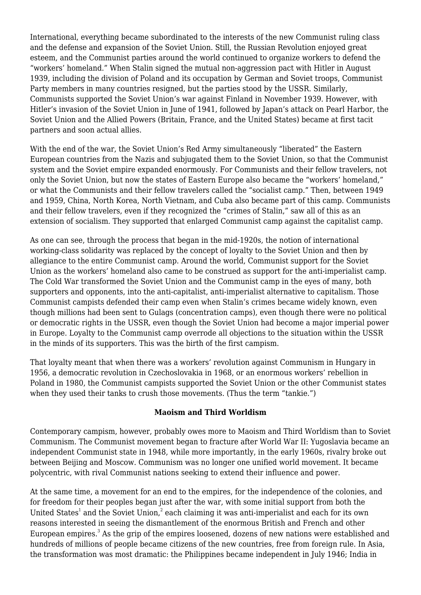International, everything became subordinated to the interests of the new Communist ruling class and the defense and expansion of the Soviet Union. Still, the Russian Revolution enjoyed great esteem, and the Communist parties around the world continued to organize workers to defend the "workers' homeland." When Stalin signed the mutual non-aggression pact with Hitler in August 1939, including the division of Poland and its occupation by German and Soviet troops, Communist Party members in many countries resigned, but the parties stood by the USSR. Similarly, Communists supported the Soviet Union's war against Finland in November 1939. However, with Hitler's invasion of the Soviet Union in June of 1941, followed by Japan's attack on Pearl Harbor, the Soviet Union and the Allied Powers (Britain, France, and the United States) became at first tacit partners and soon actual allies.

With the end of the war, the Soviet Union's Red Army simultaneously "liberated" the Eastern European countries from the Nazis and subjugated them to the Soviet Union, so that the Communist system and the Soviet empire expanded enormously. For Communists and their fellow travelers, not only the Soviet Union, but now the states of Eastern Europe also became the "workers' homeland," or what the Communists and their fellow travelers called the "socialist camp." Then, between 1949 and 1959, China, North Korea, North Vietnam, and Cuba also became part of this camp. Communists and their fellow travelers, even if they recognized the "crimes of Stalin," saw all of this as an extension of socialism. They supported that enlarged Communist camp against the capitalist camp.

As one can see, through the process that began in the mid-1920s, the notion of international working-class solidarity was replaced by the concept of loyalty to the Soviet Union and then by allegiance to the entire Communist camp. Around the world, Communist support for the Soviet Union as the workers' homeland also came to be construed as support for the anti-imperialist camp. The Cold War transformed the Soviet Union and the Communist camp in the eyes of many, both supporters and opponents, into the anti-capitalist, anti-imperialist alternative to capitalism. Those Communist campists defended their camp even when Stalin's crimes became widely known, even though millions had been sent to Gulags (concentration camps), even though there were no political or democratic rights in the USSR, even though the Soviet Union had become a major imperial power in Europe. Loyalty to the Communist camp overrode all objections to the situation within the USSR in the minds of its supporters. This was the birth of the first campism.

That loyalty meant that when there was a workers' revolution against Communism in Hungary in 1956, a democratic revolution in Czechoslovakia in 1968, or an enormous workers' rebellion in Poland in 1980, the Communist campists supported the Soviet Union or the other Communist states when they used their tanks to crush those movements. (Thus the term "tankie.")

### **Maoism and Third Worldism**

Contemporary campism, however, probably owes more to Maoism and Third Worldism than to Soviet Communism. The Communist movement began to fracture after World War II: Yugoslavia became an independent Communist state in 1948, while more importantly, in the early 1960s, rivalry broke out between Beijing and Moscow. Communism was no longer one unified world movement. It became polycentric, with rival Communist nations seeking to extend their influence and power.

At the same time, a movement for an end to the empires, for the independence of the colonies, and for freedom for their peoples began just after the war, with some initial support from both the United States $^{\text{1}}$  and the Soviet Union, $^{\text{2}}$  each claiming it was anti-imperialist and each for its own reasons interested in seeing the dismantlement of the enormous British and French and other European empires. $^3$  As the grip of the empires loosened, dozens of new nations were established and hundreds of millions of people became citizens of the new countries, free from foreign rule. In Asia, the transformation was most dramatic: the Philippines became independent in July 1946; India in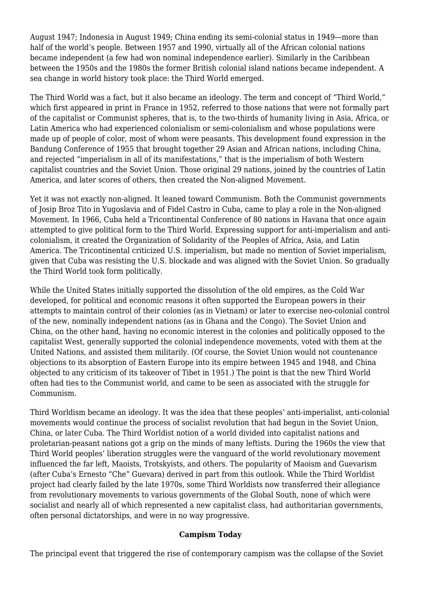August 1947; Indonesia in August 1949; China ending its semi-colonial status in 1949—more than half of the world's people. Between 1957 and 1990, virtually all of the African colonial nations became independent (a few had won nominal independence earlier). Similarly in the Caribbean between the 1950s and the 1980s the former British colonial island nations became independent. A sea change in world history took place: the Third World emerged.

The Third World was a fact, but it also became an ideology. The term and concept of "Third World," which first appeared in print in France in 1952, referred to those nations that were not formally part of the capitalist or Communist spheres, that is, to the two-thirds of humanity living in Asia, Africa, or Latin America who had experienced colonialism or semi-colonialism and whose populations were made up of people of color, most of whom were peasants. This development found expression in the Bandung Conference of 1955 that brought together 29 Asian and African nations, including China, and rejected "imperialism in all of its manifestations," that is the imperialism of both Western capitalist countries and the Soviet Union. Those original 29 nations, joined by the countries of Latin America, and later scores of others, then created the Non-aligned Movement.

Yet it was not exactly non-aligned. It leaned toward Communism. Both the Communist governments of Josip Broz Tito in Yugoslavia and of Fidel Castro in Cuba, came to play a role in the Non-aligned Movement. In 1966, Cuba held a Tricontinental Conference of 80 nations in Havana that once again attempted to give political form to the Third World. Expressing support for anti-imperialism and anticolonialism, it created the Organization of Solidarity of the Peoples of Africa, Asia, and Latin America. The Tricontinental criticized U.S. imperialism, but made no mention of Soviet imperialism, given that Cuba was resisting the U.S. blockade and was aligned with the Soviet Union. So gradually the Third World took form politically.

While the United States initially supported the dissolution of the old empires, as the Cold War developed, for political and economic reasons it often supported the European powers in their attempts to maintain control of their colonies (as in Vietnam) or later to exercise neo-colonial control of the new, nominally independent nations (as in Ghana and the Congo). The Soviet Union and China, on the other hand, having no economic interest in the colonies and politically opposed to the capitalist West, generally supported the colonial independence movements, voted with them at the United Nations, and assisted them militarily. (Of course, the Soviet Union would not countenance objections to its absorption of Eastern Europe into its empire between 1945 and 1948, and China objected to any criticism of its takeover of Tibet in 1951.) The point is that the new Third World often had ties to the Communist world, and came to be seen as associated with the struggle for Communism.

Third Worldism became an ideology. It was the idea that these peoples' anti-imperialist, anti-colonial movements would continue the process of socialist revolution that had begun in the Soviet Union, China, or later Cuba. The Third Worldist notion of a world divided into capitalist nations and proletarian-peasant nations got a grip on the minds of many leftists. During the 1960s the view that Third World peoples' liberation struggles were the vanguard of the world revolutionary movement influenced the far left, Maoists, Trotskyists, and others. The popularity of Maoism and Guevarism (after Cuba's Ernesto "Che" Guevara) derived in part from this outlook. While the Third Worldist project had clearly failed by the late 1970s, some Third Worldists now transferred their allegiance from revolutionary movements to various governments of the Global South, none of which were socialist and nearly all of which represented a new capitalist class, had authoritarian governments, often personal dictatorships, and were in no way progressive.

### **Campism Today**

The principal event that triggered the rise of contemporary campism was the collapse of the Soviet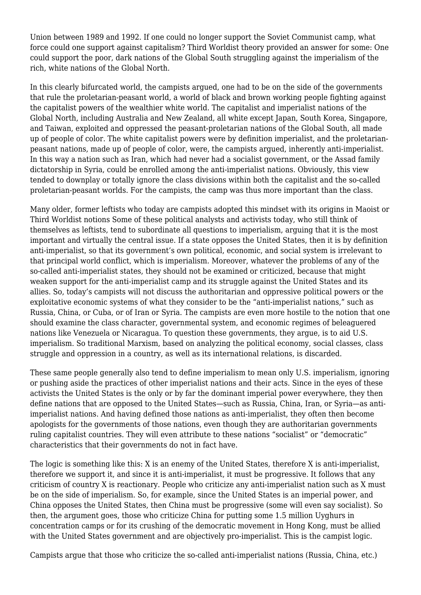Union between 1989 and 1992. If one could no longer support the Soviet Communist camp, what force could one support against capitalism? Third Worldist theory provided an answer for some: One could support the poor, dark nations of the Global South struggling against the imperialism of the rich, white nations of the Global North.

In this clearly bifurcated world, the campists argued, one had to be on the side of the governments that rule the proletarian-peasant world, a world of black and brown working people fighting against the capitalist powers of the wealthier white world. The capitalist and imperialist nations of the Global North, including Australia and New Zealand, all white except Japan, South Korea, Singapore, and Taiwan, exploited and oppressed the peasant-proletarian nations of the Global South, all made up of people of color. The white capitalist powers were by definition imperialist, and the proletarianpeasant nations, made up of people of color, were, the campists argued, inherently anti-imperialist. In this way a nation such as Iran, which had never had a socialist government, or the Assad family dictatorship in Syria, could be enrolled among the anti-imperialist nations. Obviously, this view tended to downplay or totally ignore the class divisions within both the capitalist and the so-called proletarian-peasant worlds. For the campists, the camp was thus more important than the class.

Many older, former leftists who today are campists adopted this mindset with its origins in Maoist or Third Worldist notions Some of these political analysts and activists today, who still think of themselves as leftists, tend to subordinate all questions to imperialism, arguing that it is the most important and virtually the central issue. If a state opposes the United States, then it is by definition anti-imperialist, so that its government's own political, economic, and social system is irrelevant to that principal world conflict, which is imperialism. Moreover, whatever the problems of any of the so-called anti-imperialist states, they should not be examined or criticized, because that might weaken support for the anti-imperialist camp and its struggle against the United States and its allies. So, today's campists will not discuss the authoritarian and oppressive political powers or the exploitative economic systems of what they consider to be the "anti-imperialist nations," such as Russia, China, or Cuba, or of Iran or Syria. The campists are even more hostile to the notion that one should examine the class character, governmental system, and economic regimes of beleaguered nations like Venezuela or Nicaragua. To question these governments, they argue, is to aid U.S. imperialism. So traditional Marxism, based on analyzing the political economy, social classes, class struggle and oppression in a country, as well as its international relations, is discarded.

These same people generally also tend to define imperialism to mean only U.S. imperialism, ignoring or pushing aside the practices of other imperialist nations and their acts. Since in the eyes of these activists the United States is the only or by far the dominant imperial power everywhere, they then define nations that are opposed to the United States—such as Russia, China, Iran, or Syria—as antiimperialist nations. And having defined those nations as anti-imperialist, they often then become apologists for the governments of those nations, even though they are authoritarian governments ruling capitalist countries. They will even attribute to these nations "socialist" or "democratic" characteristics that their governments do not in fact have.

The logic is something like this: X is an enemy of the United States, therefore X is anti-imperialist, therefore we support it, and since it is anti-imperialist, it must be progressive. It follows that any criticism of country X is reactionary. People who criticize any anti-imperialist nation such as X must be on the side of imperialism. So, for example, since the United States is an imperial power, and China opposes the United States, then China must be progressive (some will even say socialist). So then, the argument goes, those who criticize China for putting some 1.5 million Uyghurs in concentration camps or for its crushing of the democratic movement in Hong Kong, must be allied with the United States government and are objectively pro-imperialist. This is the campist logic.

Campists argue that those who criticize the so-called anti-imperialist nations (Russia, China, etc.)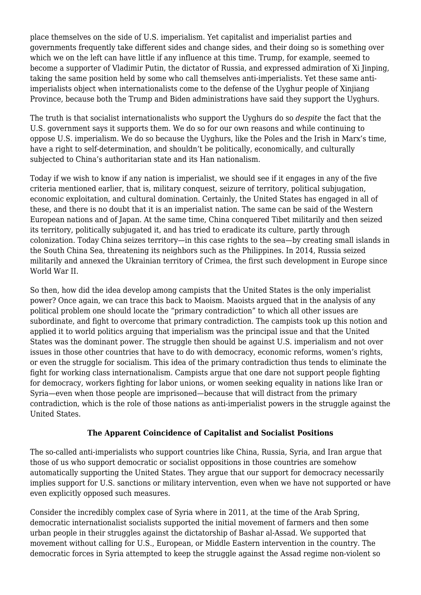place themselves on the side of U.S. imperialism. Yet capitalist and imperialist parties and governments frequently take different sides and change sides, and their doing so is something over which we on the left can have little if any influence at this time. Trump, for example, seemed to become a supporter of Vladimir Putin, the dictator of Russia, and expressed admiration of Xi Jinping, taking the same position held by some who call themselves anti-imperialists. Yet these same antiimperialists object when internationalists come to the defense of the Uyghur people of Xinjiang Province, because both the Trump and Biden administrations have said they support the Uyghurs.

The truth is that socialist internationalists who support the Uyghurs do so *despite* the fact that the U.S. government says it supports them. We do so for our own reasons and while continuing to oppose U.S. imperialism. We do so because the Uyghurs, like the Poles and the Irish in Marx's time, have a right to self-determination, and shouldn't be politically, economically, and culturally subjected to China's authoritarian state and its Han nationalism.

Today if we wish to know if any nation is imperialist, we should see if it engages in any of the five criteria mentioned earlier, that is, military conquest, seizure of territory, political subjugation, economic exploitation, and cultural domination. Certainly, the United States has engaged in all of these, and there is no doubt that it is an imperialist nation. The same can be said of the Western European nations and of Japan. At the same time, China conquered Tibet militarily and then seized its territory, politically subjugated it, and has tried to eradicate its culture, partly through colonization. Today China seizes territory—in this case rights to the sea—by creating small islands in the South China Sea, threatening its neighbors such as the Philippines. In 2014, Russia seized militarily and annexed the Ukrainian territory of Crimea, the first such development in Europe since World War II.

So then, how did the idea develop among campists that the United States is the only imperialist power? Once again, we can trace this back to Maoism. Maoists argued that in the analysis of any political problem one should locate the "primary contradiction" to which all other issues are subordinate, and fight to overcome that primary contradiction. The campists took up this notion and applied it to world politics arguing that imperialism was the principal issue and that the United States was the dominant power. The struggle then should be against U.S. imperialism and not over issues in those other countries that have to do with democracy, economic reforms, women's rights, or even the struggle for socialism. This idea of the primary contradiction thus tends to eliminate the fight for working class internationalism. Campists argue that one dare not support people fighting for democracy, workers fighting for labor unions, or women seeking equality in nations like Iran or Syria—even when those people are imprisoned—because that will distract from the primary contradiction, which is the role of those nations as anti-imperialist powers in the struggle against the United States.

# **The Apparent Coincidence of Capitalist and Socialist Positions**

The so-called anti-imperialists who support countries like China, Russia, Syria, and Iran argue that those of us who support democratic or socialist oppositions in those countries are somehow automatically supporting the United States. They argue that our support for democracy necessarily implies support for U.S. sanctions or military intervention, even when we have not supported or have even explicitly opposed such measures.

Consider the incredibly complex case of Syria where in 2011, at the time of the Arab Spring, democratic internationalist socialists supported the initial movement of farmers and then some urban people in their struggles against the dictatorship of Bashar al-Assad. We supported that movement without calling for U.S., European, or Middle Eastern intervention in the country. The democratic forces in Syria attempted to keep the struggle against the Assad regime non-violent so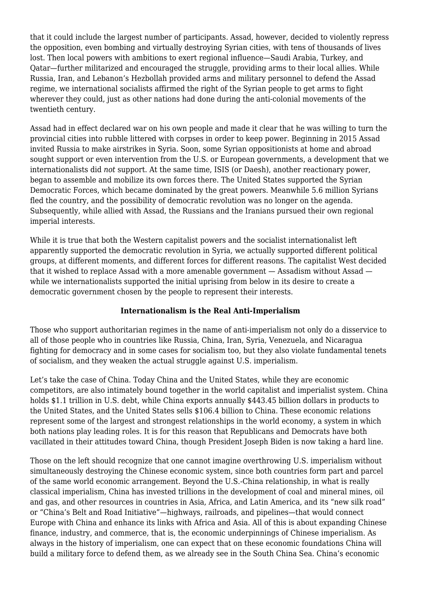that it could include the largest number of participants. Assad, however, decided to violently repress the opposition, even bombing and virtually destroying Syrian cities, with tens of thousands of lives lost. Then local powers with ambitions to exert regional influence—Saudi Arabia, Turkey, and Qatar—further militarized and encouraged the struggle, providing arms to their local allies. While Russia, Iran, and Lebanon's Hezbollah provided arms and military personnel to defend the Assad regime, we international socialists affirmed the right of the Syrian people to get arms to fight wherever they could, just as other nations had done during the anti-colonial movements of the twentieth century.

Assad had in effect declared war on his own people and made it clear that he was willing to turn the provincial cities into rubble littered with corpses in order to keep power. Beginning in 2015 Assad invited Russia to make airstrikes in Syria. Soon, some Syrian oppositionists at home and abroad sought support or even intervention from the U.S. or European governments, a development that we internationalists did *not* support. At the same time, ISIS (or Daesh), another reactionary power, began to assemble and mobilize its own forces there. The United States supported the Syrian Democratic Forces, which became dominated by the great powers. Meanwhile 5.6 million Syrians fled the country, and the possibility of democratic revolution was no longer on the agenda. Subsequently, while allied with Assad, the Russians and the Iranians pursued their own regional imperial interests.

While it is true that both the Western capitalist powers and the socialist internationalist left apparently supported the democratic revolution in Syria, we actually supported different political groups, at different moments, and different forces for different reasons. The capitalist West decided that it wished to replace Assad with a more amenable government — Assadism without Assad while we internationalists supported the initial uprising from below in its desire to create a democratic government chosen by the people to represent their interests.

# **Internationalism is the Real Anti-Imperialism**

Those who support authoritarian regimes in the name of anti-imperialism not only do a disservice to all of those people who in countries like Russia, China, Iran, Syria, Venezuela, and Nicaragua fighting for democracy and in some cases for socialism too, but they also violate fundamental tenets of socialism, and they weaken the actual struggle against U.S. imperialism.

Let's take the case of China. Today China and the United States, while they are economic competitors, are also intimately bound together in the world capitalist and imperialist system. China holds \$1.1 trillion in U.S. debt, while China exports annually \$443.45 billion dollars in products to the United States, and the United States sells \$106.4 billion to China. These economic relations represent some of the largest and strongest relationships in the world economy, a system in which both nations play leading roles. It is for this reason that Republicans and Democrats have both vacillated in their attitudes toward China, though President Joseph Biden is now taking a hard line.

Those on the left should recognize that one cannot imagine overthrowing U.S. imperialism without simultaneously destroying the Chinese economic system, since both countries form part and parcel of the same world economic arrangement. Beyond the U.S.-China relationship, in what is really classical imperialism, China has invested trillions in the development of coal and mineral mines, oil and gas, and other resources in countries in Asia, Africa, and Latin America, and its "new silk road" or "China's Belt and Road Initiative"—highways, railroads, and pipelines—that would connect Europe with China and enhance its links with Africa and Asia. All of this is about expanding Chinese finance, industry, and commerce, that is, the economic underpinnings of Chinese imperialism. As always in the history of imperialism, one can expect that on these economic foundations China will build a military force to defend them, as we already see in the South China Sea. China's economic